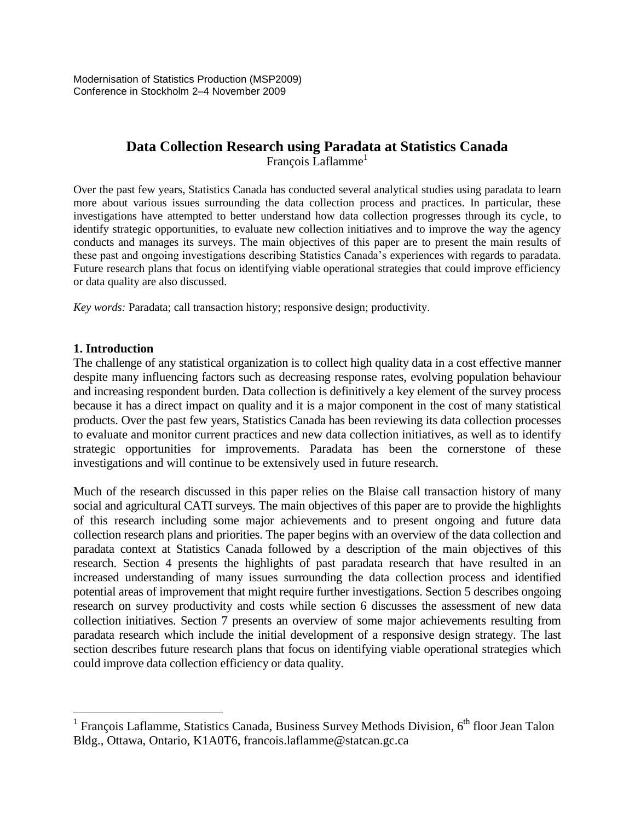Modernisation of Statistics Production (MSP2009) Conference in Stockholm 2–4 November 2009

# **Data Collection Research using Paradata at Statistics Canada** François Laflamme<sup>1</sup>

Over the past few years, Statistics Canada has conducted several analytical studies using paradata to learn more about various issues surrounding the data collection process and practices. In particular, these investigations have attempted to better understand how data collection progresses through its cycle, to identify strategic opportunities, to evaluate new collection initiatives and to improve the way the agency conducts and manages its surveys. The main objectives of this paper are to present the main results of these past and ongoing investigations describing Statistics Canada's experiences with regards to paradata. Future research plans that focus on identifying viable operational strategies that could improve efficiency or data quality are also discussed.

*Key words:* Paradata; call transaction history; responsive design; productivity.

# **1. Introduction**

 $\overline{a}$ 

The challenge of any statistical organization is to collect high quality data in a cost effective manner despite many influencing factors such as decreasing response rates, evolving population behaviour and increasing respondent burden. Data collection is definitively a key element of the survey process because it has a direct impact on quality and it is a major component in the cost of many statistical products. Over the past few years, Statistics Canada has been reviewing its data collection processes to evaluate and monitor current practices and new data collection initiatives, as well as to identify strategic opportunities for improvements. Paradata has been the cornerstone of these investigations and will continue to be extensively used in future research.

Much of the research discussed in this paper relies on the Blaise call transaction history of many social and agricultural CATI surveys. The main objectives of this paper are to provide the highlights of this research including some major achievements and to present ongoing and future data collection research plans and priorities. The paper begins with an overview of the data collection and paradata context at Statistics Canada followed by a description of the main objectives of this research. Section 4 presents the highlights of past paradata research that have resulted in an increased understanding of many issues surrounding the data collection process and identified potential areas of improvement that might require further investigations. Section 5 describes ongoing research on survey productivity and costs while section 6 discusses the assessment of new data collection initiatives. Section 7 presents an overview of some major achievements resulting from paradata research which include the initial development of a responsive design strategy. The last section describes future research plans that focus on identifying viable operational strategies which could improve data collection efficiency or data quality.

<sup>&</sup>lt;sup>1</sup> François Laflamme, Statistics Canada, Business Survey Methods Division,  $6<sup>th</sup>$  floor Jean Talon Bldg., Ottawa, Ontario, K1A0T6, francois.laflamme@statcan.gc.ca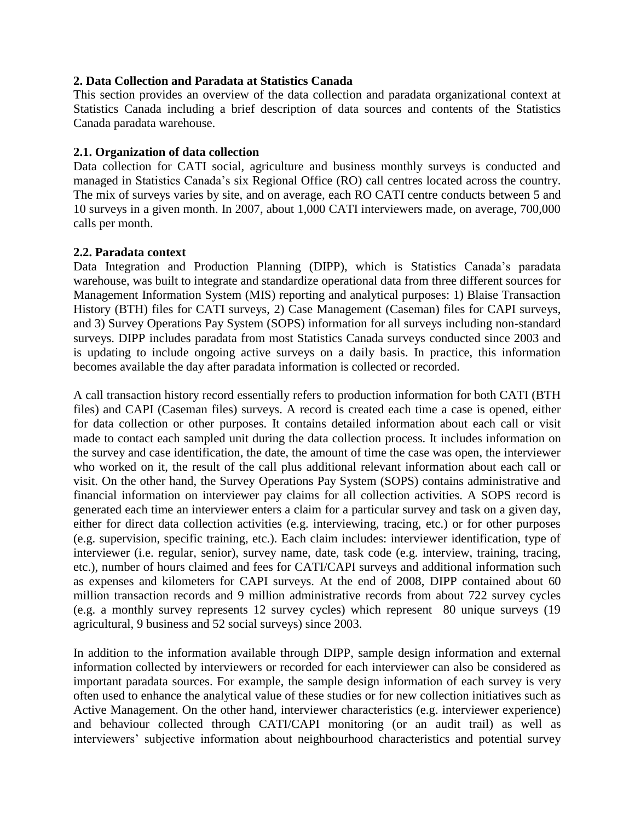### **2. Data Collection and Paradata at Statistics Canada**

This section provides an overview of the data collection and paradata organizational context at Statistics Canada including a brief description of data sources and contents of the Statistics Canada paradata warehouse.

# **2.1. Organization of data collection**

Data collection for CATI social, agriculture and business monthly surveys is conducted and managed in Statistics Canada's six Regional Office (RO) call centres located across the country. The mix of surveys varies by site, and on average, each RO CATI centre conducts between 5 and 10 surveys in a given month. In 2007, about 1,000 CATI interviewers made, on average, 700,000 calls per month.

# **2.2. Paradata context**

Data Integration and Production Planning (DIPP), which is Statistics Canada's paradata warehouse, was built to integrate and standardize operational data from three different sources for Management Information System (MIS) reporting and analytical purposes: 1) Blaise Transaction History (BTH) files for CATI surveys, 2) Case Management (Caseman) files for CAPI surveys, and 3) Survey Operations Pay System (SOPS) information for all surveys including non-standard surveys. DIPP includes paradata from most Statistics Canada surveys conducted since 2003 and is updating to include ongoing active surveys on a daily basis. In practice, this information becomes available the day after paradata information is collected or recorded.

A call transaction history record essentially refers to production information for both CATI (BTH files) and CAPI (Caseman files) surveys. A record is created each time a case is opened, either for data collection or other purposes. It contains detailed information about each call or visit made to contact each sampled unit during the data collection process. It includes information on the survey and case identification, the date, the amount of time the case was open, the interviewer who worked on it, the result of the call plus additional relevant information about each call or visit. On the other hand, the Survey Operations Pay System (SOPS) contains administrative and financial information on interviewer pay claims for all collection activities. A SOPS record is generated each time an interviewer enters a claim for a particular survey and task on a given day, either for direct data collection activities (e.g. interviewing, tracing, etc.) or for other purposes (e.g. supervision, specific training, etc.). Each claim includes: interviewer identification, type of interviewer (i.e. regular, senior), survey name, date, task code (e.g. interview, training, tracing, etc.), number of hours claimed and fees for CATI/CAPI surveys and additional information such as expenses and kilometers for CAPI surveys. At the end of 2008, DIPP contained about 60 million transaction records and 9 million administrative records from about 722 survey cycles (e.g. a monthly survey represents 12 survey cycles) which represent 80 unique surveys (19 agricultural, 9 business and 52 social surveys) since 2003.

In addition to the information available through DIPP, sample design information and external information collected by interviewers or recorded for each interviewer can also be considered as important paradata sources. For example, the sample design information of each survey is very often used to enhance the analytical value of these studies or for new collection initiatives such as Active Management. On the other hand, interviewer characteristics (e.g. interviewer experience) and behaviour collected through CATI/CAPI monitoring (or an audit trail) as well as interviewers' subjective information about neighbourhood characteristics and potential survey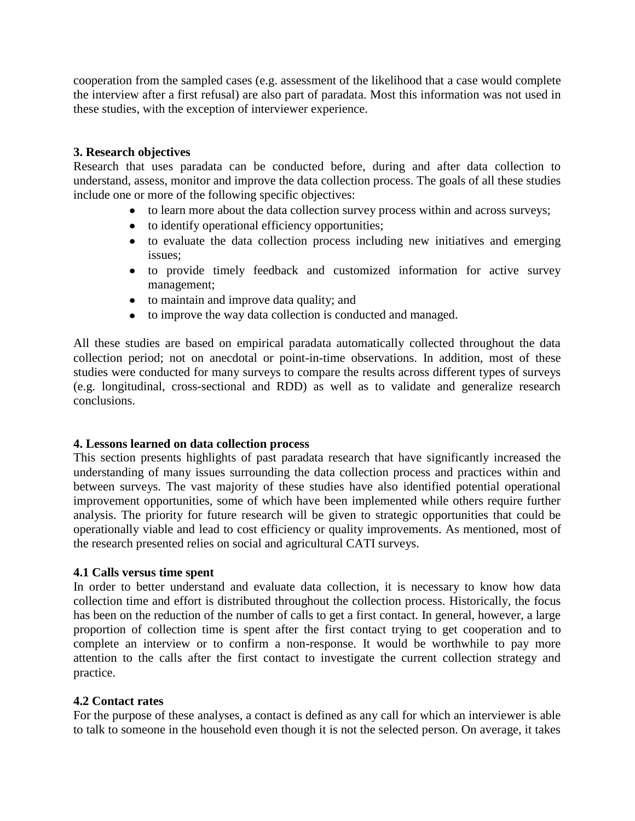cooperation from the sampled cases (e.g. assessment of the likelihood that a case would complete the interview after a first refusal) are also part of paradata. Most this information was not used in these studies, with the exception of interviewer experience.

# **3. Research objectives**

Research that uses paradata can be conducted before, during and after data collection to understand, assess, monitor and improve the data collection process. The goals of all these studies include one or more of the following specific objectives:

- to learn more about the data collection survey process within and across surveys;
- to identify operational efficiency opportunities;
- to evaluate the data collection process including new initiatives and emerging issues;
- to provide timely feedback and customized information for active survey management;
- to maintain and improve data quality; and
- to improve the way data collection is conducted and managed.

All these studies are based on empirical paradata automatically collected throughout the data collection period; not on anecdotal or point-in-time observations. In addition, most of these studies were conducted for many surveys to compare the results across different types of surveys (e.g. longitudinal, cross-sectional and RDD) as well as to validate and generalize research conclusions.

# **4. Lessons learned on data collection process**

This section presents highlights of past paradata research that have significantly increased the understanding of many issues surrounding the data collection process and practices within and between surveys. The vast majority of these studies have also identified potential operational improvement opportunities, some of which have been implemented while others require further analysis. The priority for future research will be given to strategic opportunities that could be operationally viable and lead to cost efficiency or quality improvements. As mentioned, most of the research presented relies on social and agricultural CATI surveys.

### **4.1 Calls versus time spent**

In order to better understand and evaluate data collection, it is necessary to know how data collection time and effort is distributed throughout the collection process. Historically, the focus has been on the reduction of the number of calls to get a first contact. In general, however, a large proportion of collection time is spent after the first contact trying to get cooperation and to complete an interview or to confirm a non-response. It would be worthwhile to pay more attention to the calls after the first contact to investigate the current collection strategy and practice.

### **4.2 Contact rates**

For the purpose of these analyses, a contact is defined as any call for which an interviewer is able to talk to someone in the household even though it is not the selected person. On average, it takes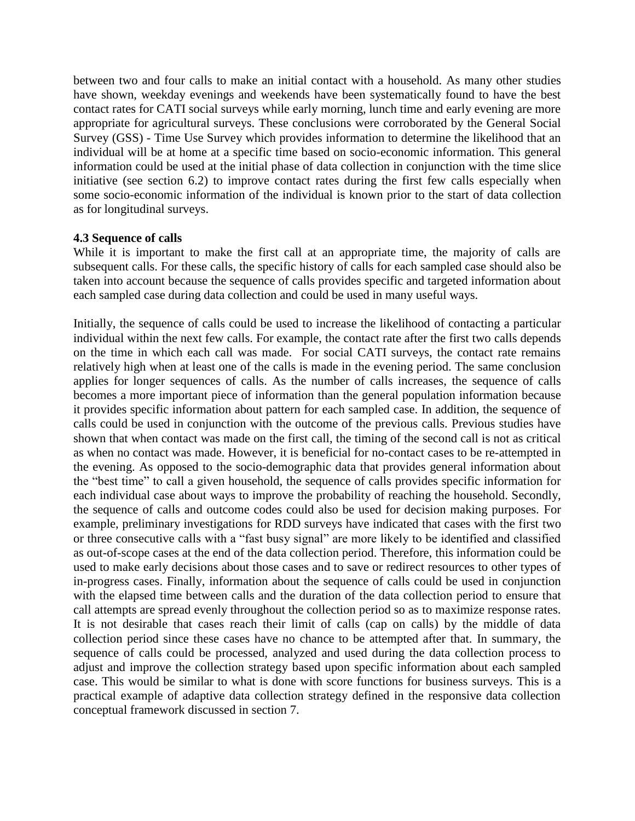between two and four calls to make an initial contact with a household. As many other studies have shown, weekday evenings and weekends have been systematically found to have the best contact rates for CATI social surveys while early morning, lunch time and early evening are more appropriate for agricultural surveys. These conclusions were corroborated by the General Social Survey (GSS) - Time Use Survey which provides information to determine the likelihood that an individual will be at home at a specific time based on socio-economic information. This general information could be used at the initial phase of data collection in conjunction with the time slice initiative (see section 6.2) to improve contact rates during the first few calls especially when some socio-economic information of the individual is known prior to the start of data collection as for longitudinal surveys.

### **4.3 Sequence of calls**

While it is important to make the first call at an appropriate time, the majority of calls are subsequent calls. For these calls, the specific history of calls for each sampled case should also be taken into account because the sequence of calls provides specific and targeted information about each sampled case during data collection and could be used in many useful ways.

Initially, the sequence of calls could be used to increase the likelihood of contacting a particular individual within the next few calls. For example, the contact rate after the first two calls depends on the time in which each call was made. For social CATI surveys, the contact rate remains relatively high when at least one of the calls is made in the evening period. The same conclusion applies for longer sequences of calls. As the number of calls increases, the sequence of calls becomes a more important piece of information than the general population information because it provides specific information about pattern for each sampled case. In addition, the sequence of calls could be used in conjunction with the outcome of the previous calls. Previous studies have shown that when contact was made on the first call, the timing of the second call is not as critical as when no contact was made. However, it is beneficial for no-contact cases to be re-attempted in the evening. As opposed to the socio-demographic data that provides general information about the "best time" to call a given household, the sequence of calls provides specific information for each individual case about ways to improve the probability of reaching the household. Secondly, the sequence of calls and outcome codes could also be used for decision making purposes. For example, preliminary investigations for RDD surveys have indicated that cases with the first two or three consecutive calls with a "fast busy signal" are more likely to be identified and classified as out-of-scope cases at the end of the data collection period. Therefore, this information could be used to make early decisions about those cases and to save or redirect resources to other types of in-progress cases. Finally, information about the sequence of calls could be used in conjunction with the elapsed time between calls and the duration of the data collection period to ensure that call attempts are spread evenly throughout the collection period so as to maximize response rates. It is not desirable that cases reach their limit of calls (cap on calls) by the middle of data collection period since these cases have no chance to be attempted after that. In summary, the sequence of calls could be processed, analyzed and used during the data collection process to adjust and improve the collection strategy based upon specific information about each sampled case. This would be similar to what is done with score functions for business surveys. This is a practical example of adaptive data collection strategy defined in the responsive data collection conceptual framework discussed in section 7.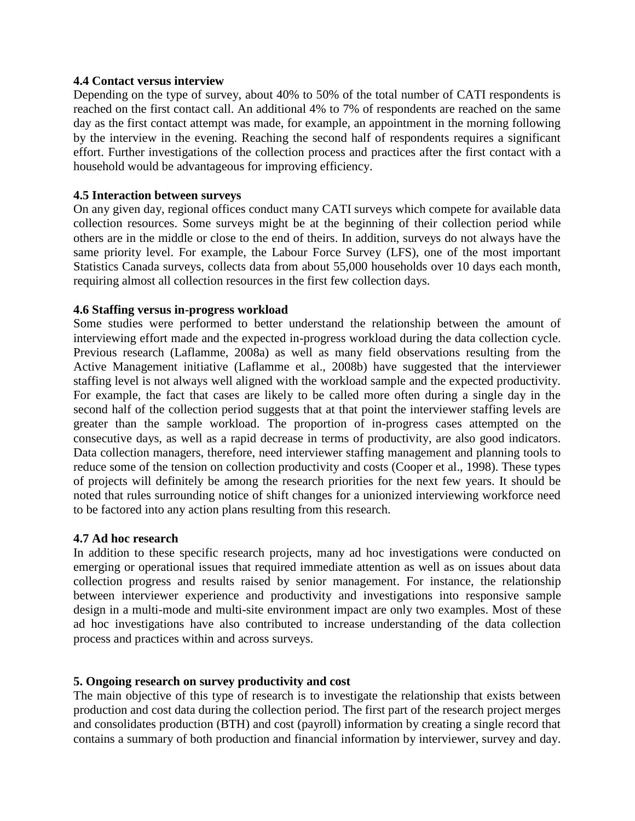#### **4.4 Contact versus interview**

Depending on the type of survey, about 40% to 50% of the total number of CATI respondents is reached on the first contact call. An additional 4% to 7% of respondents are reached on the same day as the first contact attempt was made, for example, an appointment in the morning following by the interview in the evening. Reaching the second half of respondents requires a significant effort. Further investigations of the collection process and practices after the first contact with a household would be advantageous for improving efficiency.

#### **4.5 Interaction between surveys**

On any given day, regional offices conduct many CATI surveys which compete for available data collection resources. Some surveys might be at the beginning of their collection period while others are in the middle or close to the end of theirs. In addition, surveys do not always have the same priority level. For example, the Labour Force Survey (LFS), one of the most important Statistics Canada surveys, collects data from about 55,000 households over 10 days each month, requiring almost all collection resources in the first few collection days.

### **4.6 Staffing versus in-progress workload**

Some studies were performed to better understand the relationship between the amount of interviewing effort made and the expected in-progress workload during the data collection cycle. Previous research (Laflamme, 2008a) as well as many field observations resulting from the Active Management initiative (Laflamme et al., 2008b) have suggested that the interviewer staffing level is not always well aligned with the workload sample and the expected productivity. For example, the fact that cases are likely to be called more often during a single day in the second half of the collection period suggests that at that point the interviewer staffing levels are greater than the sample workload. The proportion of in-progress cases attempted on the consecutive days, as well as a rapid decrease in terms of productivity, are also good indicators. Data collection managers, therefore, need interviewer staffing management and planning tools to reduce some of the tension on collection productivity and costs (Cooper et al., 1998). These types of projects will definitely be among the research priorities for the next few years. It should be noted that rules surrounding notice of shift changes for a unionized interviewing workforce need to be factored into any action plans resulting from this research.

#### **4.7 Ad hoc research**

In addition to these specific research projects, many ad hoc investigations were conducted on emerging or operational issues that required immediate attention as well as on issues about data collection progress and results raised by senior management. For instance, the relationship between interviewer experience and productivity and investigations into responsive sample design in a multi-mode and multi-site environment impact are only two examples. Most of these ad hoc investigations have also contributed to increase understanding of the data collection process and practices within and across surveys.

### **5. Ongoing research on survey productivity and cost**

The main objective of this type of research is to investigate the relationship that exists between production and cost data during the collection period. The first part of the research project merges and consolidates production (BTH) and cost (payroll) information by creating a single record that contains a summary of both production and financial information by interviewer, survey and day.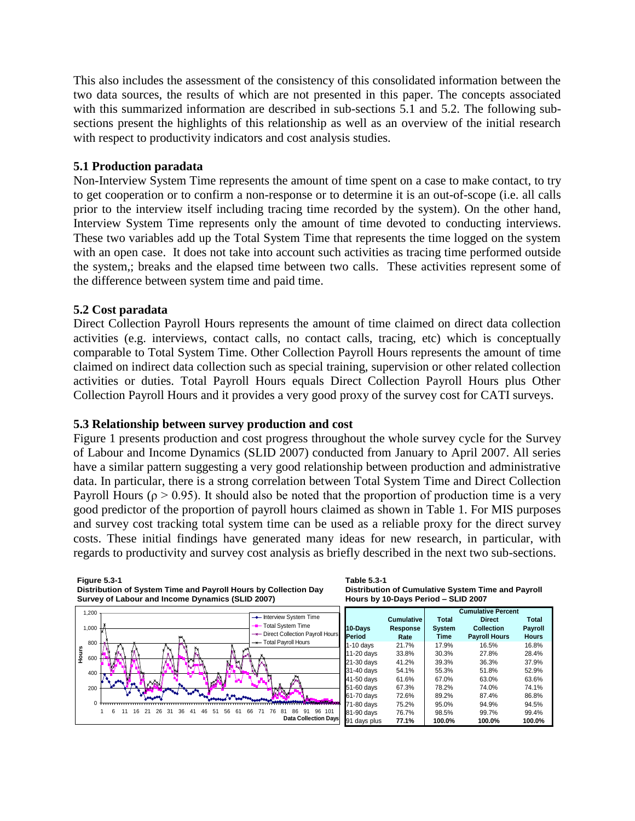This also includes the assessment of the consistency of this consolidated information between the two data sources, the results of which are not presented in this paper. The concepts associated with this summarized information are described in sub-sections 5.1 and 5.2. The following subsections present the highlights of this relationship as well as an overview of the initial research with respect to productivity indicators and cost analysis studies.

#### **5.1 Production paradata**

Non-Interview System Time represents the amount of time spent on a case to make contact, to try to get cooperation or to confirm a non-response or to determine it is an out-of-scope (i.e. all calls prior to the interview itself including tracing time recorded by the system). On the other hand, Interview System Time represents only the amount of time devoted to conducting interviews. These two variables add up the Total System Time that represents the time logged on the system with an open case. It does not take into account such activities as tracing time performed outside the system,; breaks and the elapsed time between two calls. These activities represent some of the difference between system time and paid time.

### **5.2 Cost paradata**

Direct Collection Payroll Hours represents the amount of time claimed on direct data collection activities (e.g. interviews, contact calls, no contact calls, tracing, etc) which is conceptually comparable to Total System Time. Other Collection Payroll Hours represents the amount of time claimed on indirect data collection such as special training, supervision or other related collection activities or duties. Total Payroll Hours equals Direct Collection Payroll Hours plus Other Collection Payroll Hours and it provides a very good proxy of the survey cost for CATI surveys.

### **5.3 Relationship between survey production and cost**

Figure 1 presents production and cost progress throughout the whole survey cycle for the Survey of Labour and Income Dynamics (SLID 2007) conducted from January to April 2007. All series have a similar pattern suggesting a very good relationship between production and administrative data. In particular, there is a strong correlation between Total System Time and Direct Collection Payroll Hours ( $\rho > 0.95$ ). It should also be noted that the proportion of production time is a very good predictor of the proportion of payroll hours claimed as shown in Table 1. For MIS purposes and survey cost tracking total system time can be used as a reliable proxy for the direct survey costs. These initial findings have generated many ideas for new research, in particular, with regards to productivity and survey cost analysis as briefly described in the next two sub-sections.

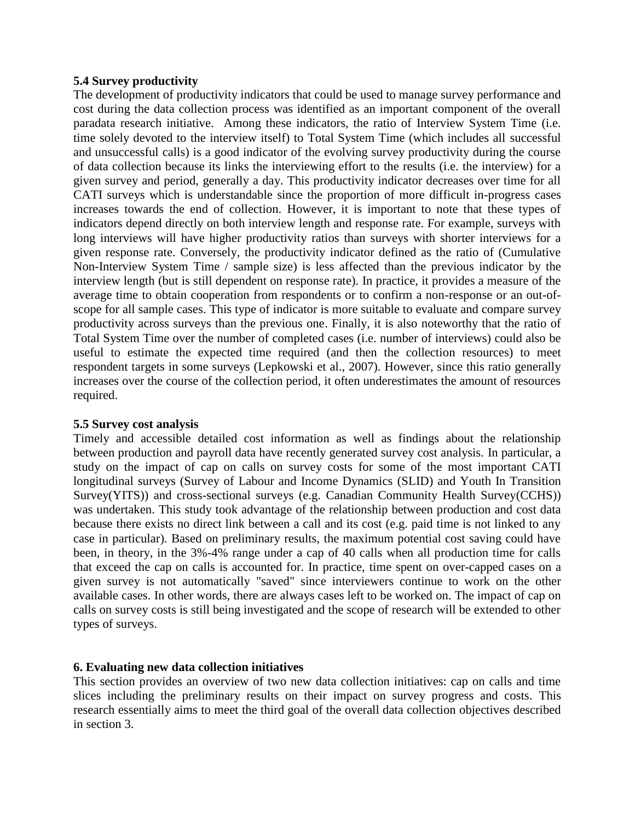#### **5.4 Survey productivity**

The development of productivity indicators that could be used to manage survey performance and cost during the data collection process was identified as an important component of the overall paradata research initiative. Among these indicators, the ratio of Interview System Time (i.e. time solely devoted to the interview itself) to Total System Time (which includes all successful and unsuccessful calls) is a good indicator of the evolving survey productivity during the course of data collection because its links the interviewing effort to the results (i.e. the interview) for a given survey and period, generally a day. This productivity indicator decreases over time for all CATI surveys which is understandable since the proportion of more difficult in-progress cases increases towards the end of collection. However, it is important to note that these types of indicators depend directly on both interview length and response rate. For example, surveys with long interviews will have higher productivity ratios than surveys with shorter interviews for a given response rate. Conversely, the productivity indicator defined as the ratio of (Cumulative Non-Interview System Time / sample size) is less affected than the previous indicator by the interview length (but is still dependent on response rate). In practice, it provides a measure of the average time to obtain cooperation from respondents or to confirm a non-response or an out-ofscope for all sample cases. This type of indicator is more suitable to evaluate and compare survey productivity across surveys than the previous one. Finally, it is also noteworthy that the ratio of Total System Time over the number of completed cases (i.e. number of interviews) could also be useful to estimate the expected time required (and then the collection resources) to meet respondent targets in some surveys (Lepkowski et al., 2007). However, since this ratio generally increases over the course of the collection period, it often underestimates the amount of resources required.

### **5.5 Survey cost analysis**

Timely and accessible detailed cost information as well as findings about the relationship between production and payroll data have recently generated survey cost analysis. In particular, a study on the impact of cap on calls on survey costs for some of the most important CATI longitudinal surveys (Survey of Labour and Income Dynamics (SLID) and Youth In Transition Survey(YITS)) and cross-sectional surveys (e.g. Canadian Community Health Survey(CCHS)) was undertaken. This study took advantage of the relationship between production and cost data because there exists no direct link between a call and its cost (e.g. paid time is not linked to any case in particular). Based on preliminary results, the maximum potential cost saving could have been, in theory, in the 3%-4% range under a cap of 40 calls when all production time for calls that exceed the cap on calls is accounted for. In practice, time spent on over-capped cases on a given survey is not automatically "saved" since interviewers continue to work on the other available cases. In other words, there are always cases left to be worked on. The impact of cap on calls on survey costs is still being investigated and the scope of research will be extended to other types of surveys.

# **6. Evaluating new data collection initiatives**

This section provides an overview of two new data collection initiatives: cap on calls and time slices including the preliminary results on their impact on survey progress and costs. This research essentially aims to meet the third goal of the overall data collection objectives described in section 3.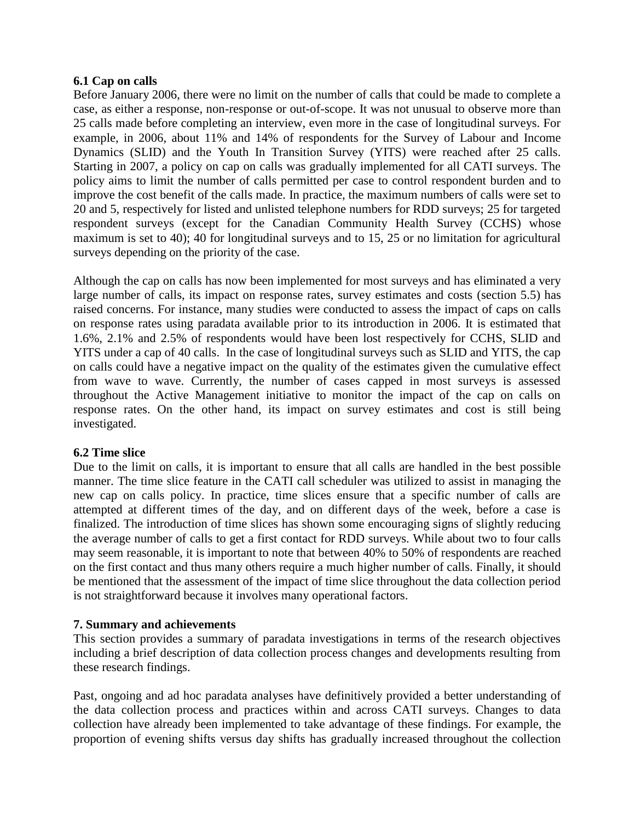### **6.1 Cap on calls**

Before January 2006, there were no limit on the number of calls that could be made to complete a case, as either a response, non-response or out-of-scope. It was not unusual to observe more than 25 calls made before completing an interview, even more in the case of longitudinal surveys. For example, in 2006, about 11% and 14% of respondents for the Survey of Labour and Income Dynamics (SLID) and the Youth In Transition Survey (YITS) were reached after 25 calls. Starting in 2007, a policy on cap on calls was gradually implemented for all CATI surveys. The policy aims to limit the number of calls permitted per case to control respondent burden and to improve the cost benefit of the calls made. In practice, the maximum numbers of calls were set to 20 and 5, respectively for listed and unlisted telephone numbers for RDD surveys; 25 for targeted respondent surveys (except for the Canadian Community Health Survey (CCHS) whose maximum is set to 40); 40 for longitudinal surveys and to 15, 25 or no limitation for agricultural surveys depending on the priority of the case.

Although the cap on calls has now been implemented for most surveys and has eliminated a very large number of calls, its impact on response rates, survey estimates and costs (section 5.5) has raised concerns. For instance, many studies were conducted to assess the impact of caps on calls on response rates using paradata available prior to its introduction in 2006. It is estimated that 1.6%, 2.1% and 2.5% of respondents would have been lost respectively for CCHS, SLID and YITS under a cap of 40 calls. In the case of longitudinal surveys such as SLID and YITS, the cap on calls could have a negative impact on the quality of the estimates given the cumulative effect from wave to wave. Currently, the number of cases capped in most surveys is assessed throughout the Active Management initiative to monitor the impact of the cap on calls on response rates. On the other hand, its impact on survey estimates and cost is still being investigated.

# **6.2 Time slice**

Due to the limit on calls, it is important to ensure that all calls are handled in the best possible manner. The time slice feature in the CATI call scheduler was utilized to assist in managing the new cap on calls policy. In practice, time slices ensure that a specific number of calls are attempted at different times of the day, and on different days of the week, before a case is finalized. The introduction of time slices has shown some encouraging signs of slightly reducing the average number of calls to get a first contact for RDD surveys. While about two to four calls may seem reasonable, it is important to note that between 40% to 50% of respondents are reached on the first contact and thus many others require a much higher number of calls. Finally, it should be mentioned that the assessment of the impact of time slice throughout the data collection period is not straightforward because it involves many operational factors.

# **7. Summary and achievements**

This section provides a summary of paradata investigations in terms of the research objectives including a brief description of data collection process changes and developments resulting from these research findings.

Past, ongoing and ad hoc paradata analyses have definitively provided a better understanding of the data collection process and practices within and across CATI surveys. Changes to data collection have already been implemented to take advantage of these findings. For example, the proportion of evening shifts versus day shifts has gradually increased throughout the collection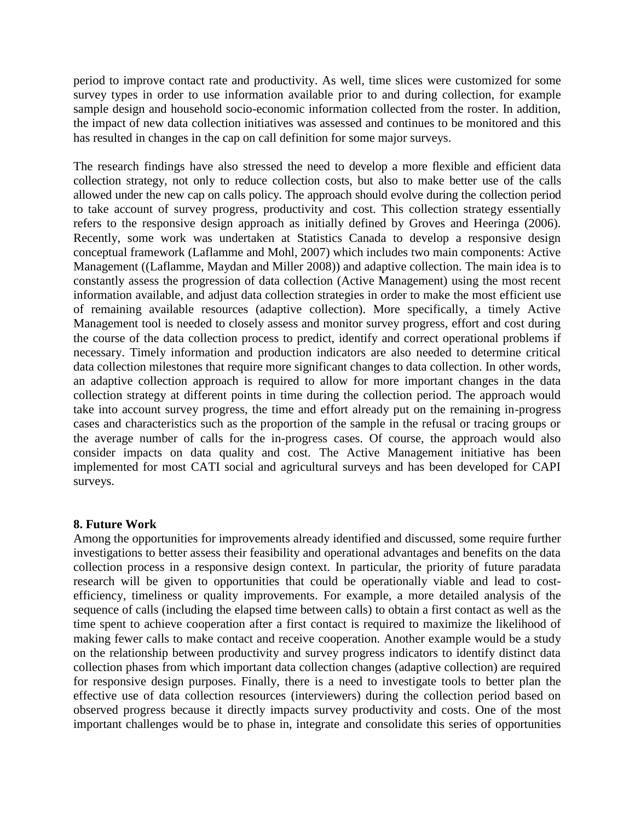period to improve contact rate and productivity. As well, time slices were customized for some survey types in order to use information available prior to and during collection, for example sample design and household socio-economic information collected from the roster. In addition, the impact of new data collection initiatives was assessed and continues to be monitored and this has resulted in changes in the cap on call definition for some major surveys.

The research findings have also stressed the need to develop a more flexible and efficient data collection strategy, not only to reduce collection costs, but also to make better use of the calls allowed under the new cap on calls policy. The approach should evolve during the collection period to take account of survey progress, productivity and cost. This collection strategy essentially refers to the responsive design approach as initially defined by Groves and Heeringa (2006). Recently, some work was undertaken at Statistics Canada to develop a responsive design conceptual framework (Laflamme and Mohl, 2007) which includes two main components: Active Management ((Laflamme, Maydan and Miller 2008)) and adaptive collection. The main idea is to constantly assess the progression of data collection (Active Management) using the most recent information available, and adjust data collection strategies in order to make the most efficient use of remaining available resources (adaptive collection). More specifically, a timely Active Management tool is needed to closely assess and monitor survey progress, effort and cost during the course of the data collection process to predict, identify and correct operational problems if necessary. Timely information and production indicators are also needed to determine critical data collection milestones that require more significant changes to data collection. In other words, an adaptive collection approach is required to allow for more important changes in the data collection strategy at different points in time during the collection period. The approach would take into account survey progress, the time and effort already put on the remaining in-progress cases and characteristics such as the proportion of the sample in the refusal or tracing groups or the average number of calls for the in-progress cases. Of course, the approach would also consider impacts on data quality and cost. The Active Management initiative has been implemented for most CATI social and agricultural surveys and has been developed for CAPI surveys.

### **8. Future Work**

Among the opportunities for improvements already identified and discussed, some require further investigations to better assess their feasibility and operational advantages and benefits on the data collection process in a responsive design context. In particular, the priority of future paradata research will be given to opportunities that could be operationally viable and lead to costefficiency, timeliness or quality improvements. For example, a more detailed analysis of the sequence of calls (including the elapsed time between calls) to obtain a first contact as well as the time spent to achieve cooperation after a first contact is required to maximize the likelihood of making fewer calls to make contact and receive cooperation. Another example would be a study on the relationship between productivity and survey progress indicators to identify distinct data collection phases from which important data collection changes (adaptive collection) are required for responsive design purposes. Finally, there is a need to investigate tools to better plan the effective use of data collection resources (interviewers) during the collection period based on observed progress because it directly impacts survey productivity and costs. One of the most important challenges would be to phase in, integrate and consolidate this series of opportunities